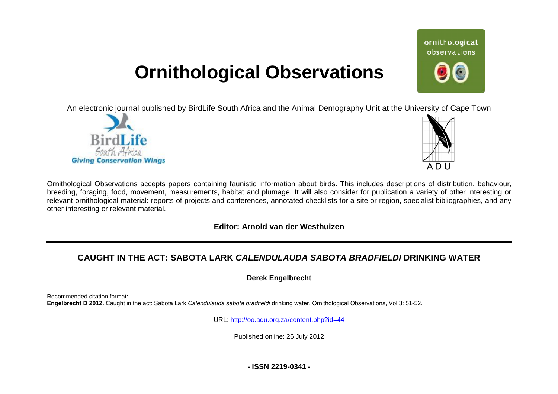# **Ornithological Observations**

An electronic journal published by BirdLife South Africa and the Animal Demography Unit at the University of Cape Town





ornithological observations

Ornithological Observations accepts papers containing faunistic information about birds. This includes descriptions of distribution, behaviour, breeding, foraging, food, movement, measurements, habitat and plumage. It will also consider for publication a variety of other interesting or relevant ornithological material: reports of projects and conferences, annotated checklists for a site or region, specialist bibliographies, and any other interesting or relevant material.

### **Editor: Arnold van der Westhuizen**

# **CAUGHT IN THE ACT: SABOTA LARK ARK** *CALENDULAUDA SABOTA BRADFIELDI* **DRINKING WATER**

**Derek Engelbrecht** 

Recommended citation format: **Engelbrecht D 2012.** Caught in the act: Sabota Lark *Calendulauda sabota bradfieldi* drinking water. Ornithological Observations, Vol 3: 51-52.

URL: <http://oo.adu.org.za/content.php?id=44>

Published online: 26 July 2012

**- ISSN 2219-0341 -**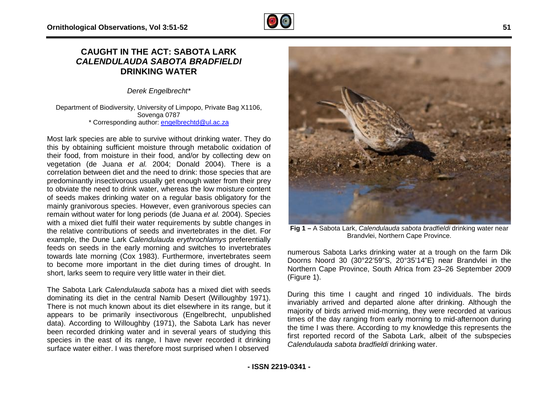## **CAUGHT IN THE ACT: SABOTA LARK CAUGHT IN THE ACT: SABOTA LARK<br>CALENDULAUDA SABOTA BRADFIELDI DRINKING WATER**

*Derek Engelbrecht\**

Department of Biodiversity, University of Limpopo, Private Bag X1106, Sovenga 0787 \* Corresponding author: **[engelbrechtd@ul.ac.za](mailto:engelbrechtd@ul.ac.za)** 

Most lark species are able to survive without drinking water. They do this by obtaining sufficient moisture through metabolic oxidation of their food, from moisture in their food, and/or by collecting dew on their food, from moisture in their food, and/or by collecting dew on<br>vegetation (de Juana *et al.* 2004; Donald 2004). There is a correlation between diet and the need to drink: those species that are predominantly insectivorous usually get enough water from their prey to obviate the need to drink water, whereas the low moisture content of seeds makes drinking water on a regular basis obligatory for the mainly granivorous species. However, even granivorous species can remain without water for long periods (de Juana *et al.* 2004) with a mixed diet fulfil their water requirements by subtle changes in the relative contributions of seeds and invertebrates in the diet. For example, the Dune Lark *Calendulauda erythrochlamys*  feeds on seeds in the early morning and switches to invertebrates towards late morning (Cox 1983). Furthermore, invertebrates seem towards late morning (Cox 1983). Furthermore, invertebrates seem<br>to become more important in the diet during times of drought. In short, larks seem to require very little water in their diet. eas the low moisture content<br>gular basis obligatory for the<br>ven granivorous species can<br>e Juana *et al.* 2004). Species l their water requirements by subtle changes in<br>ons of seeds and invertebrates in the diet. For<br>ark *Calendulauda erythrochlamys* preferentially

The Sabota Lark *Calendulauda sabota* has a mixed diet with seeds dominating its diet in the central Namib Desert (Willoughby 1971). There is not much known about its diet elsewhere in its range, but it appears to be primarily insectivorous (Engelbrecht, unpublished data). According to Willoughby (1971), the Sabota Lark has never been recorded drinking water and in several years of studying this been recorded drinking water and in several years of studying this<br>species in the east of its range, I have never recorded it drinking surface water either. I was therefore most surprised when I observed



**Fig 1 –** A Sabota Lark, *Calendulauda sabota bradfieldi* drinking water near Brandvlei, Northern Cape Province.

numerous Sabota Larks drinking water at a trough on the farm Dik Doorns Noord 30 (30°22'59"S, 20°35'14"E) near Brandvlei in the Northern Cape Province, South Africa from 23 23–26 September 2009 (Figure 1).

During this time I caught and ringed 10 individuals. The birds invariably arrived and departed alone after drinking. Although the majority of birds arrived mid-morning, they were recorded at various majority of birds arrived mid-morning, they were recorded at various<br>times of the day ranging from early morning to mid-afternoon during the time I was there. According to my knowledge this represents the first reported record of the Sabota Lark, albeit of the subspecies *Calendulauda sabota bradfieldi* drinking water.